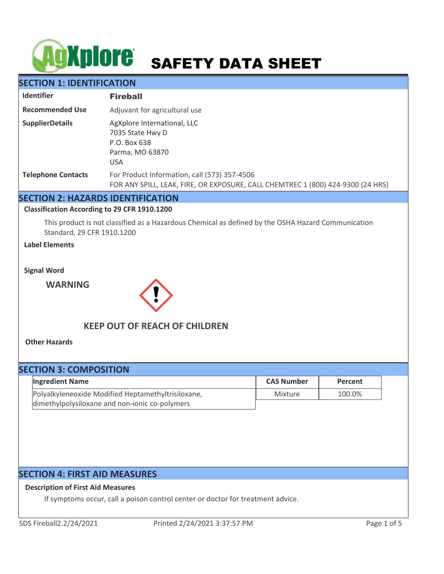# **ACKPIOTE** SAFETY DATA SHEET

# **SECTION 1: IDENTIFICATION**

| <b>Identifier</b>         | <b>Fireball</b>                                                                                                                 |
|---------------------------|---------------------------------------------------------------------------------------------------------------------------------|
| <b>Recommended Use</b>    | Adjuvant for agricultural use                                                                                                   |
| <b>SupplierDetails</b>    | AgXplore International, LLC<br>7035 State Hwy D<br>P.O. Box 638<br>Parma, MO 63870<br><b>USA</b>                                |
| <b>Telephone Contacts</b> | For Product Information, call (573) 357-4506<br>FOR ANY SPILL, LEAK, FIRE, OR EXPOSURE, CALL CHEMTREC 1 (800) 424-9300 (24 HRS) |

# **SECTION 2: HAZARDS IDENTIFICATION**

#### **Classification According to 29 CFR 1910.1200**

This product is not classified as a Hazardous Chemical as defined by the OSHA Hazard Communication Standard, 29 CFR 1910.1200

## **Label Elements**

**Signal Word**

**WARNING**



# **KEEP OUT OF REACH OF CHILDREN**

**Other Hazards**

# **SECTION 3: COMPOSITION** Polyalkyleneoxide Modified Heptamethyltrisiloxane, dimethylpolysiloxane and non-ionic co-polymers Mixture 100.0% **Ingredient Name CAS Number Percent**

# **SECTION 4: FIRST AID MEASURES**

#### **Description of First Aid Measures**

If symptoms occur, call a poison control center or doctor for treatment advice.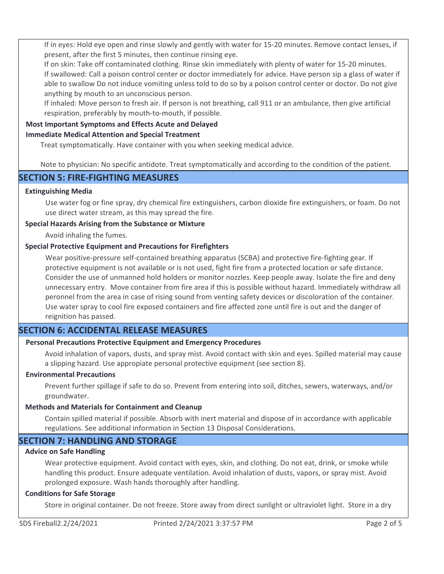If in eyes: Hold eye open and rinse slowly and gently with water for 15-20 minutes. Remove contact lenses, if present, after the first 5 minutes, then continue rinsing eye.

If on skin: Take off contaminated clothing. Rinse skin immediately with plenty of water for 15-20 minutes. If swallowed: Call a poison control center or doctor immediately for advice. Have person sip a glass of water if able to swallow Do not induce vomiting unless told to do so by a poison control center or doctor. Do not give anything by mouth to an unconscious person.

If inhaled: Move person to fresh air. If person is not breathing, call 911 or an ambulance, then give artificial respiration, preferably by mouth-to-mouth, if possible.

# **Most Important Symptoms and Effects Acute and Delayed**

## **Immediate Medical Attention and Special Treatment**

Treat symptomatically. Have container with you when seeking medical advice.

Note to physician: No specific antidote. Treat symptomatically and according to the condition of the patient.

# **SECTION 5: FIRE-FIGHTING MEASURES**

## **Extinguishing Media**

Use water fog or fine spray, dry chemical fire extinguishers, carbon dioxide fire extinguishers, or foam. Do not use direct water stream, as this may spread the fire.

## **Special Hazards Arising from the Substance or Mixture**

Avoid inhaling the fumes.

## **Special Protective Equipment and Precautions for Firefighters**

Wear positive-pressure self-contained breathing apparatus (SCBA) and protective fire-fighting gear. If protective equipment is not available or is not used, fight fire from a protected location or safe distance. Consider the use of unmanned hold holders or monitor nozzles. Keep people away. Isolate the fire and deny unnecessary entry. Move container from fire area if this is possible without hazard. Immediately withdraw all peronnel from the area in case of rising sound from venting safety devices or discoloration of the container. Use water spray to cool fire exposed containers and fire affected zone until fire is out and the danger of reignition has passed.

# **SECTION 6: ACCIDENTAL RELEASE MEASURES**

# **Personal Precautions Protective Equipment and Emergency Procedures**

Avoid inhalation of vapors, dusts, and spray mist. Avoid contact with skin and eyes. Spilled material may cause a slipping hazard. Use appropiate personal protective equipment (see section 8).

#### **Environmental Precautions**

Prevent further spillage if safe to do so. Prevent from entering into soil, ditches, sewers, waterways, and/or groundwater.

#### **Methods and Materials for Containment and Cleanup**

Contain spilled material if possible. Absorb with inert material and dispose of in accordance with applicable regulations. See additional information in Section 13 Disposal Considerations.

# **SECTION 7: HANDLING AND STORAGE**

# **Advice on Safe Handling**

Wear protective equipment. Avoid contact with eyes, skin, and clothing. Do not eat, drink, or smoke while handling this product. Ensure adequate ventilation. Avoid inhalation of dusts, vapors, or spray mist. Avoid prolonged exposure. Wash hands thoroughly after handling.

#### **Conditions for Safe Storage**

Store in original container. Do not freeze. Store away from direct sunlight or ultraviolet light. Store in a dry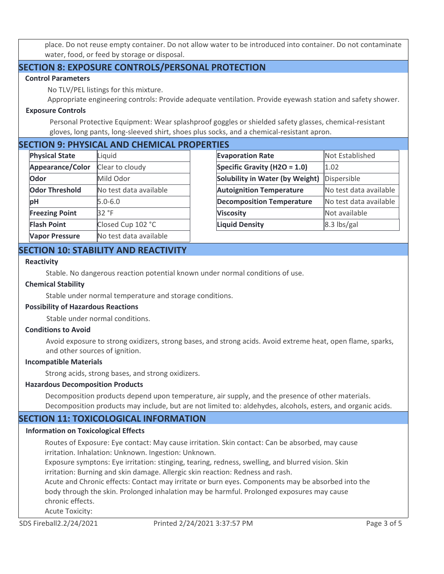place. Do not reuse empty container. Do not allow water to be introduced into container. Do not contaminate water, food, or feed by storage or disposal.

# **SECTION 8: EXPOSURE CONTROLS/PERSONAL PROTECTION**

#### **Control Parameters**

No TLV/PEL listings for this mixture.

Appropriate engineering controls: Provide adequate ventilation. Provide eyewash station and safety shower.

## **Exposure Controls**

Personal Protective Equipment: Wear splashproof goggles or shielded safety glasses, chemical-resistant gloves, long pants, long-sleeved shirt, shoes plus socks, and a chemical-resistant apron.

# **SECTION 9: PHYSICAL AND CHEMICAL PROPERTIES**

| <b>Physical State</b> | Liquid                 |
|-----------------------|------------------------|
| Appearance/Color      | Clear to cloudy        |
| Odor                  | Mild Odor              |
| <b>Odor Threshold</b> | No test data available |
| рH                    | $ 5.0 - 6.0 $          |
| <b>Freezing Point</b> | 32 °F                  |
| <b>Flash Point</b>    | Closed Cup 102 °C      |
| <b>Vapor Pressure</b> | No test data available |

| ШЬ                                     |                        |  |  |
|----------------------------------------|------------------------|--|--|
| <b>Evaporation Rate</b>                | Not Established        |  |  |
| Specific Gravity (H2O = $1.0$ )        | 1.02                   |  |  |
| <b>Solubility in Water (by Weight)</b> | Dispersible            |  |  |
| <b>Autoignition Temperature</b>        | No test data available |  |  |
| <b>Decomposition Temperature</b>       | No test data available |  |  |
| <b>Viscosity</b>                       | Not available          |  |  |
| <b>Liquid Density</b>                  | 8.3 lbs/gal            |  |  |

# **SECTION 10: STABILITY AND REACTIVITY**

## **Reactivity**

Stable. No dangerous reaction potential known under normal conditions of use.

### **Chemical Stability**

Stable under normal temperature and storage conditions.

#### **Possibility of Hazardous Reactions**

Stable under normal conditions.

## **Conditions to Avoid**

Avoid exposure to strong oxidizers, strong bases, and strong acids. Avoid extreme heat, open flame, sparks, and other sources of ignition.

#### **Incompatible Materials**

Strong acids, strong bases, and strong oxidizers.

#### **Hazardous Decomposition Products**

Decomposition products depend upon temperature, air supply, and the presence of other materials. Decomposition products may include, but are not limited to: aldehydes, alcohols, esters, and organic acids.

# **SECTION 11: TOXICOLOGICAL INFORMATION**

#### **Information on Toxicological Effects**

Routes of Exposure: Eye contact: May cause irritation. Skin contact: Can be absorbed, may cause irritation. Inhalation: Unknown. Ingestion: Unknown.

Exposure symptons: Eye irritation: stinging, tearing, redness, swelling, and blurred vision. Skin irritation: Burning and skin damage. Allergic skin reaction: Redness and rash.

Acute and Chronic effects: Contact may irritate or burn eyes. Components may be absorbed into the body through the skin. Prolonged inhalation may be harmful. Prolonged exposures may cause chronic effects.

Acute Toxicity: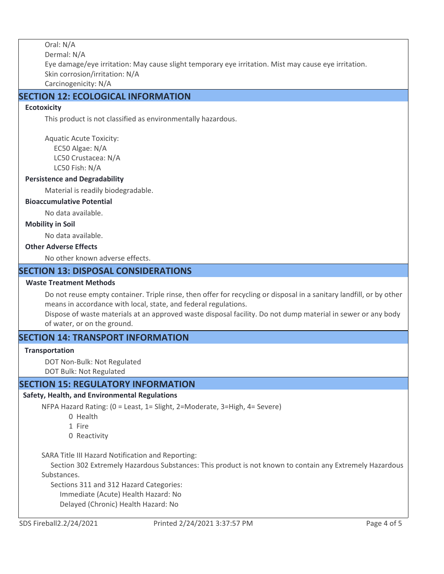Oral: N/A Dermal: N/A Eye damage/eye irritation: May cause slight temporary eye irritation. Mist may cause eye irritation. Skin corrosion/irritation: N/A Carcinogenicity: N/A

# **SECTION 12: ECOLOGICAL INFORMATION**

## **Ecotoxicity**

This product is not classified as environmentally hazardous.

Aquatic Acute Toxicity: EC50 Algae: N/A LC50 Crustacea: N/A LC50 Fish: N/A

#### **Persistence and Degradability**

Material is readily biodegradable.

### **Bioaccumulative Potential**

No data available.

#### **Mobility in Soil**

No data available.

### **Other Adverse Effects**

No other known adverse effects.

# **SECTION 13: DISPOSAL CONSIDERATIONS**

#### **Waste Treatment Methods**

Do not reuse empty container. Triple rinse, then offer for recycling or disposal in a sanitary landfill, or by other means in accordance with local, state, and federal regulations.

Dispose of waste materials at an approved waste disposal facility. Do not dump material in sewer or any body of water, or on the ground.

# **SECTION 14: TRANSPORT INFORMATION**

#### **Transportation**

DOT Non-Bulk: Not Regulated DOT Bulk: Not Regulated

# **SECTION 15: REGULATORY INFORMATION**

#### **Safety, Health, and Environmental Regulations**

NFPA Hazard Rating: (0 = Least, 1= Slight, 2=Moderate, 3=High, 4= Severe)

- 0 Health
- 1 Fire
- 0 Reactivity

SARA Title III Hazard Notification and Reporting:

 Section 302 Extremely Hazardous Substances: This product is not known to contain any Extremely Hazardous Substances.

 Sections 311 and 312 Hazard Categories: Immediate (Acute) Health Hazard: No Delayed (Chronic) Health Hazard: No